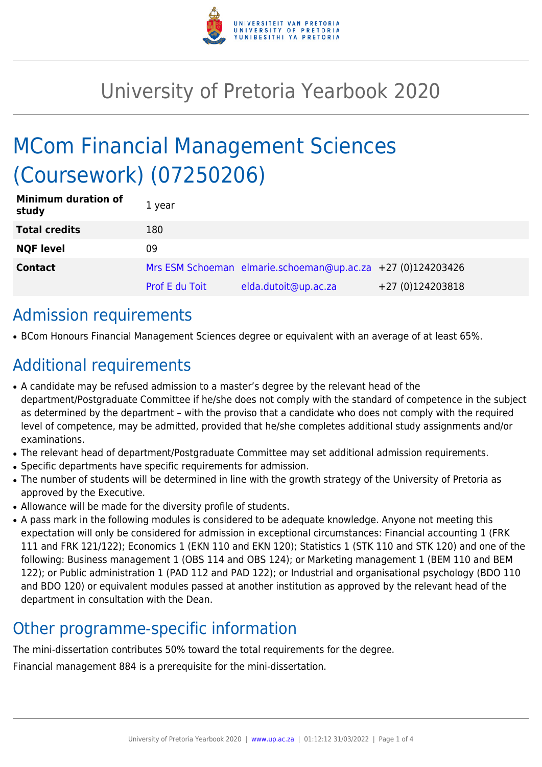

## University of Pretoria Yearbook 2020

# MCom Financial Management Sciences (Coursework) (07250206)

| <b>Minimum duration of</b><br>study | 1 year                |                                                             |                  |
|-------------------------------------|-----------------------|-------------------------------------------------------------|------------------|
| <b>Total credits</b>                | 180                   |                                                             |                  |
| <b>NQF level</b>                    | 09                    |                                                             |                  |
| <b>Contact</b>                      |                       | Mrs ESM Schoeman elmarie.schoeman@up.ac.za +27 (0)124203426 |                  |
|                                     | <b>Prof E du Toit</b> | elda.dutoit@up.ac.za                                        | +27 (0)124203818 |

### Admission requirements

● BCom Honours Financial Management Sciences degree or equivalent with an average of at least 65%.

### Additional requirements

- A candidate may be refused admission to a master's degree by the relevant head of the department/Postgraduate Committee if he/she does not comply with the standard of competence in the subject as determined by the department – with the proviso that a candidate who does not comply with the required level of competence, may be admitted, provided that he/she completes additional study assignments and/or examinations.
- The relevant head of department/Postgraduate Committee may set additional admission requirements.
- Specific departments have specific requirements for admission.
- The number of students will be determined in line with the growth strategy of the University of Pretoria as approved by the Executive.
- Allowance will be made for the diversity profile of students.
- A pass mark in the following modules is considered to be adequate knowledge. Anyone not meeting this expectation will only be considered for admission in exceptional circumstances: Financial accounting 1 (FRK 111 and FRK 121/122); Economics 1 (EKN 110 and EKN 120); Statistics 1 (STK 110 and STK 120) and one of the following: Business management 1 (OBS 114 and OBS 124); or Marketing management 1 (BEM 110 and BEM 122); or Public administration 1 (PAD 112 and PAD 122); or Industrial and organisational psychology (BDO 110 and BDO 120) or equivalent modules passed at another institution as approved by the relevant head of the department in consultation with the Dean.

### Other programme-specific information

The mini-dissertation contributes 50% toward the total requirements for the degree.

Financial management 884 is a prerequisite for the mini-dissertation.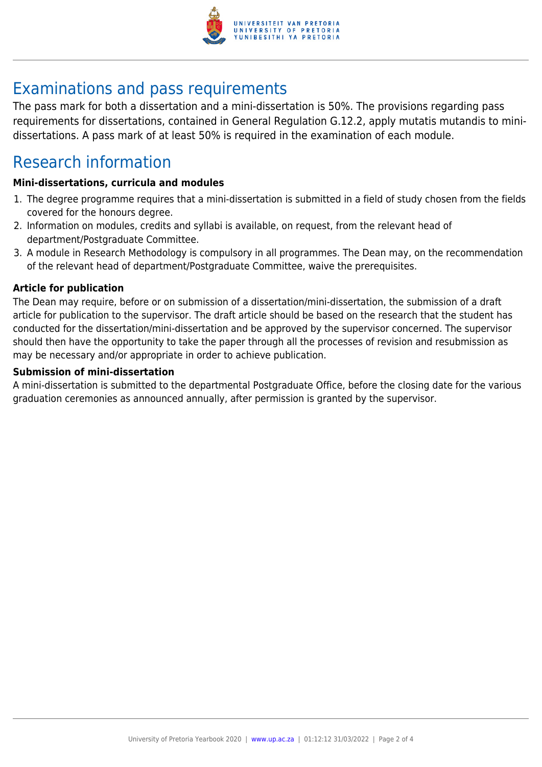

## Examinations and pass requirements

The pass mark for both a dissertation and a mini-dissertation is 50%. The provisions regarding pass requirements for dissertations, contained in General Regulation G.12.2, apply mutatis mutandis to minidissertations. A pass mark of at least 50% is required in the examination of each module.

### Research information

#### **Mini-dissertations, curricula and modules**

- 1. The degree programme requires that a mini-dissertation is submitted in a field of study chosen from the fields covered for the honours degree.
- 2. Information on modules, credits and syllabi is available, on request, from the relevant head of department/Postgraduate Committee.
- 3. A module in Research Methodology is compulsory in all programmes. The Dean may, on the recommendation of the relevant head of department/Postgraduate Committee, waive the prerequisites.

#### **Article for publication**

The Dean may require, before or on submission of a dissertation/mini-dissertation, the submission of a draft article for publication to the supervisor. The draft article should be based on the research that the student has conducted for the dissertation/mini-dissertation and be approved by the supervisor concerned. The supervisor should then have the opportunity to take the paper through all the processes of revision and resubmission as may be necessary and/or appropriate in order to achieve publication.

#### **Submission of mini-dissertation**

A mini-dissertation is submitted to the departmental Postgraduate Office, before the closing date for the various graduation ceremonies as announced annually, after permission is granted by the supervisor.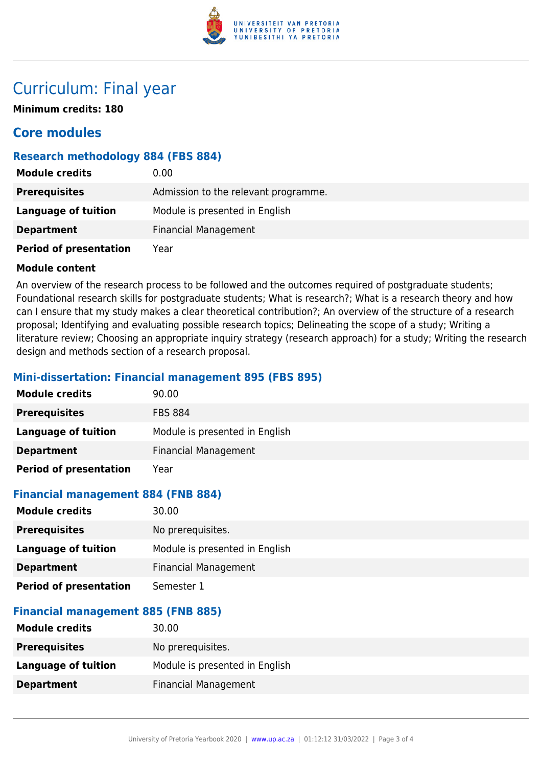

### Curriculum: Final year

**Minimum credits: 180**

### **Core modules**

#### **Research methodology 884 (FBS 884)**

| <b>Module credits</b>         | 0.00                                 |
|-------------------------------|--------------------------------------|
| <b>Prerequisites</b>          | Admission to the relevant programme. |
| Language of tuition           | Module is presented in English       |
| <b>Department</b>             | <b>Financial Management</b>          |
| <b>Period of presentation</b> | Year                                 |

#### **Module content**

An overview of the research process to be followed and the outcomes required of postgraduate students; Foundational research skills for postgraduate students; What is research?; What is a research theory and how can I ensure that my study makes a clear theoretical contribution?; An overview of the structure of a research proposal; Identifying and evaluating possible research topics; Delineating the scope of a study; Writing a literature review; Choosing an appropriate inquiry strategy (research approach) for a study; Writing the research design and methods section of a research proposal.

#### **Mini-dissertation: Financial management 895 (FBS 895)**

| <b>Module credits</b>         | 90.00                          |
|-------------------------------|--------------------------------|
| <b>Prerequisites</b>          | <b>FBS 884</b>                 |
| Language of tuition           | Module is presented in English |
| <b>Department</b>             | <b>Financial Management</b>    |
| <b>Period of presentation</b> | Year                           |

#### **Financial management 884 (FNB 884)**

| 30.00                          |
|--------------------------------|
| No prerequisites.              |
| Module is presented in English |
| <b>Financial Management</b>    |
| Semester 1                     |
|                                |

#### **Financial management 885 (FNB 885)**

| 30.00                          |
|--------------------------------|
| No prerequisites.              |
| Module is presented in English |
| <b>Financial Management</b>    |
|                                |